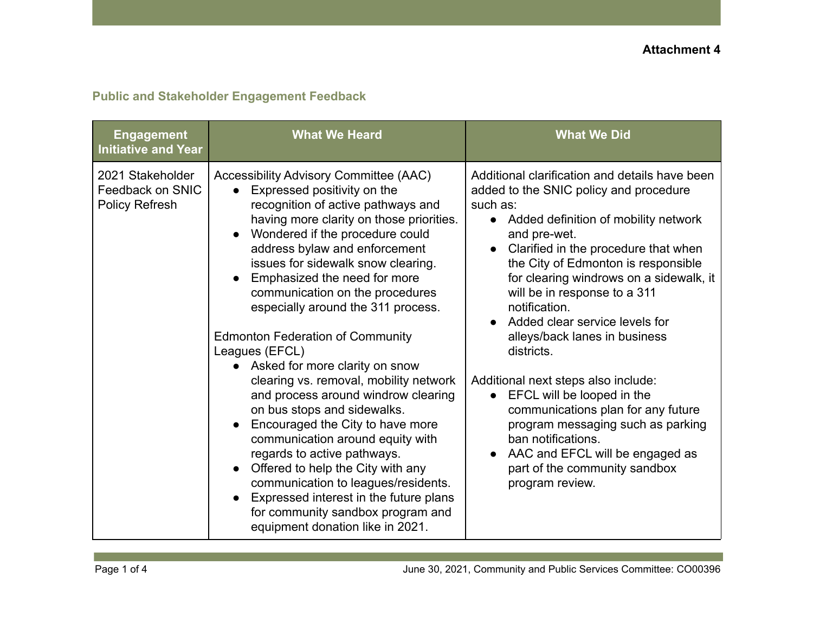## **Public and Stakeholder Engagement Feedback**

| <b>Engagement</b><br><b>Initiative and Year</b>        | <b>What We Heard</b>                                                                                                                                                                                                                                                                                                                                                                                                                                                                                                                                                                                                                                                                                                                                                                                                                                                                            | <b>What We Did</b>                                                                                                                                                                                                                                                                                                                                                                                                                                                                                                                                                                                                                                                                                              |
|--------------------------------------------------------|-------------------------------------------------------------------------------------------------------------------------------------------------------------------------------------------------------------------------------------------------------------------------------------------------------------------------------------------------------------------------------------------------------------------------------------------------------------------------------------------------------------------------------------------------------------------------------------------------------------------------------------------------------------------------------------------------------------------------------------------------------------------------------------------------------------------------------------------------------------------------------------------------|-----------------------------------------------------------------------------------------------------------------------------------------------------------------------------------------------------------------------------------------------------------------------------------------------------------------------------------------------------------------------------------------------------------------------------------------------------------------------------------------------------------------------------------------------------------------------------------------------------------------------------------------------------------------------------------------------------------------|
| 2021 Stakeholder<br>Feedback on SNIC<br>Policy Refresh | Accessibility Advisory Committee (AAC)<br>Expressed positivity on the<br>recognition of active pathways and<br>having more clarity on those priorities.<br>Wondered if the procedure could<br>address bylaw and enforcement<br>issues for sidewalk snow clearing.<br>Emphasized the need for more<br>communication on the procedures<br>especially around the 311 process.<br><b>Edmonton Federation of Community</b><br>Leagues (EFCL)<br>Asked for more clarity on snow<br>clearing vs. removal, mobility network<br>and process around windrow clearing<br>on bus stops and sidewalks.<br>Encouraged the City to have more<br>communication around equity with<br>regards to active pathways.<br>Offered to help the City with any<br>communication to leagues/residents.<br>Expressed interest in the future plans<br>for community sandbox program and<br>equipment donation like in 2021. | Additional clarification and details have been<br>added to the SNIC policy and procedure<br>such as:<br>Added definition of mobility network<br>$\bullet$<br>and pre-wet.<br>Clarified in the procedure that when<br>the City of Edmonton is responsible<br>for clearing windrows on a sidewalk, it<br>will be in response to a 311<br>notification.<br>Added clear service levels for<br>alleys/back lanes in business<br>districts.<br>Additional next steps also include:<br>EFCL will be looped in the<br>communications plan for any future<br>program messaging such as parking<br>ban notifications.<br>AAC and EFCL will be engaged as<br>$\bullet$<br>part of the community sandbox<br>program review. |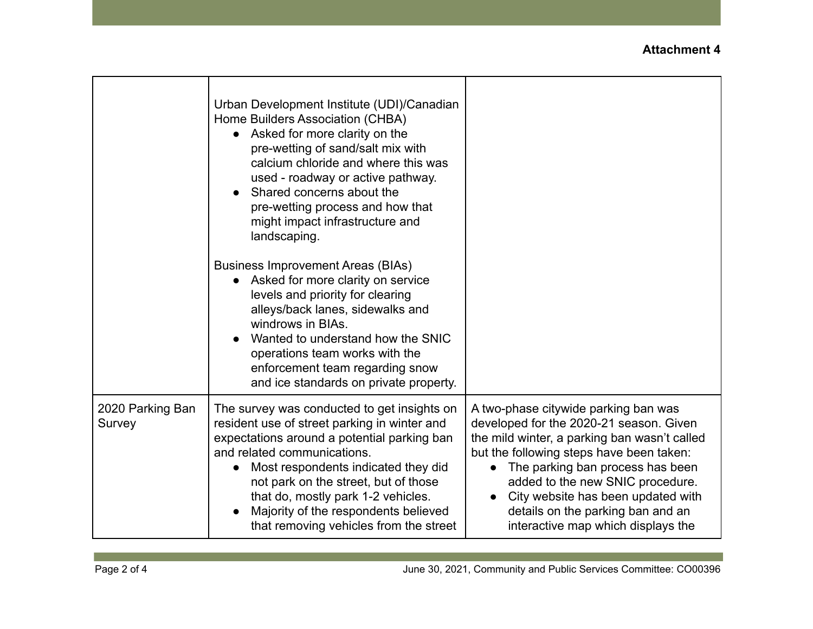|                            | Urban Development Institute (UDI)/Canadian<br>Home Builders Association (CHBA)<br>Asked for more clarity on the<br>$\bullet$<br>pre-wetting of sand/salt mix with<br>calcium chloride and where this was<br>used - roadway or active pathway.<br>Shared concerns about the<br>pre-wetting process and how that<br>might impact infrastructure and<br>landscaping.<br><b>Business Improvement Areas (BIAs)</b> |                                                                                                                                                                                                                                                                                                                                                                                   |
|----------------------------|---------------------------------------------------------------------------------------------------------------------------------------------------------------------------------------------------------------------------------------------------------------------------------------------------------------------------------------------------------------------------------------------------------------|-----------------------------------------------------------------------------------------------------------------------------------------------------------------------------------------------------------------------------------------------------------------------------------------------------------------------------------------------------------------------------------|
|                            | Asked for more clarity on service<br>levels and priority for clearing<br>alleys/back lanes, sidewalks and<br>windrows in BIAs.<br>Wanted to understand how the SNIC<br>operations team works with the<br>enforcement team regarding snow<br>and ice standards on private property.                                                                                                                            |                                                                                                                                                                                                                                                                                                                                                                                   |
| 2020 Parking Ban<br>Survey | The survey was conducted to get insights on<br>resident use of street parking in winter and<br>expectations around a potential parking ban<br>and related communications.<br>Most respondents indicated they did<br>$\bullet$<br>not park on the street, but of those<br>that do, mostly park 1-2 vehicles.<br>Majority of the respondents believed<br>that removing vehicles from the street                 | A two-phase citywide parking ban was<br>developed for the 2020-21 season. Given<br>the mild winter, a parking ban wasn't called<br>but the following steps have been taken:<br>The parking ban process has been<br>$\bullet$<br>added to the new SNIC procedure.<br>City website has been updated with<br>details on the parking ban and an<br>interactive map which displays the |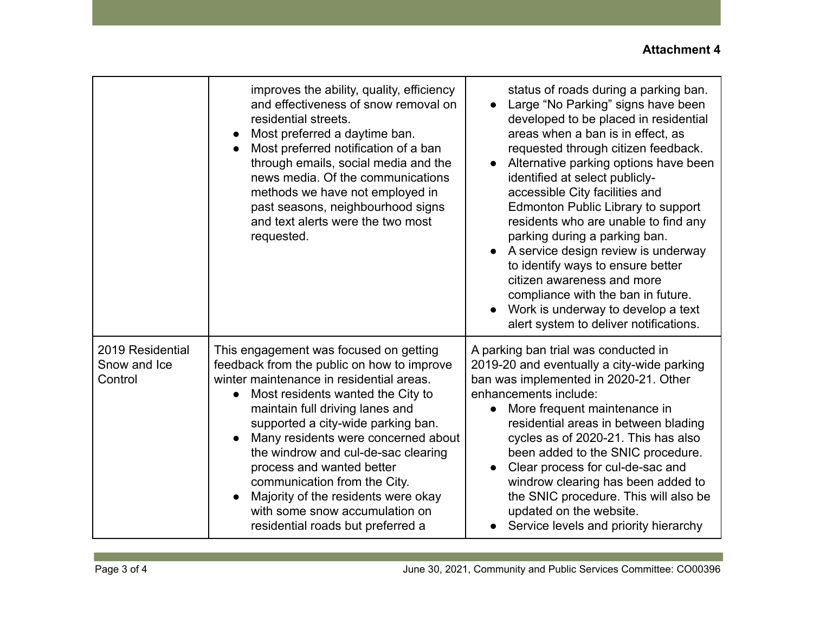## **Attachment 4**

|                                             | improves the ability, quality, efficiency<br>and effectiveness of snow removal on<br>residential streets.<br>Most preferred a daytime ban.<br>$\bullet$<br>Most preferred notification of a ban<br>through emails, social media and the<br>news media. Of the communications<br>methods we have not employed in<br>past seasons, neighbourhood signs<br>and text alerts were the two most<br>requested.                                                                                                              | status of roads during a parking ban.<br>Large "No Parking" signs have been<br>developed to be placed in residential<br>areas when a ban is in effect, as<br>requested through citizen feedback.<br>Alternative parking options have been<br>$\bullet$<br>identified at select publicly-<br>accessible City facilities and<br>Edmonton Public Library to support<br>residents who are unable to find any<br>parking during a parking ban.<br>A service design review is underway<br>to identify ways to ensure better<br>citizen awareness and more<br>compliance with the ban in future.<br>Work is underway to develop a text<br>alert system to deliver notifications. |
|---------------------------------------------|----------------------------------------------------------------------------------------------------------------------------------------------------------------------------------------------------------------------------------------------------------------------------------------------------------------------------------------------------------------------------------------------------------------------------------------------------------------------------------------------------------------------|---------------------------------------------------------------------------------------------------------------------------------------------------------------------------------------------------------------------------------------------------------------------------------------------------------------------------------------------------------------------------------------------------------------------------------------------------------------------------------------------------------------------------------------------------------------------------------------------------------------------------------------------------------------------------|
| 2019 Residential<br>Snow and Ice<br>Control | This engagement was focused on getting<br>feedback from the public on how to improve<br>winter maintenance in residential areas.<br>Most residents wanted the City to<br>$\bullet$<br>maintain full driving lanes and<br>supported a city-wide parking ban.<br>Many residents were concerned about<br>the windrow and cul-de-sac clearing<br>process and wanted better<br>communication from the City.<br>Majority of the residents were okay<br>with some snow accumulation on<br>residential roads but preferred a | A parking ban trial was conducted in<br>2019-20 and eventually a city-wide parking<br>ban was implemented in 2020-21. Other<br>enhancements include:<br>More frequent maintenance in<br>residential areas in between blading<br>cycles as of 2020-21. This has also<br>been added to the SNIC procedure.<br>Clear process for cul-de-sac and<br>$\bullet$<br>windrow clearing has been added to<br>the SNIC procedure. This will also be<br>updated on the website.<br>Service levels and priority hierarchy                                                                                                                                                              |